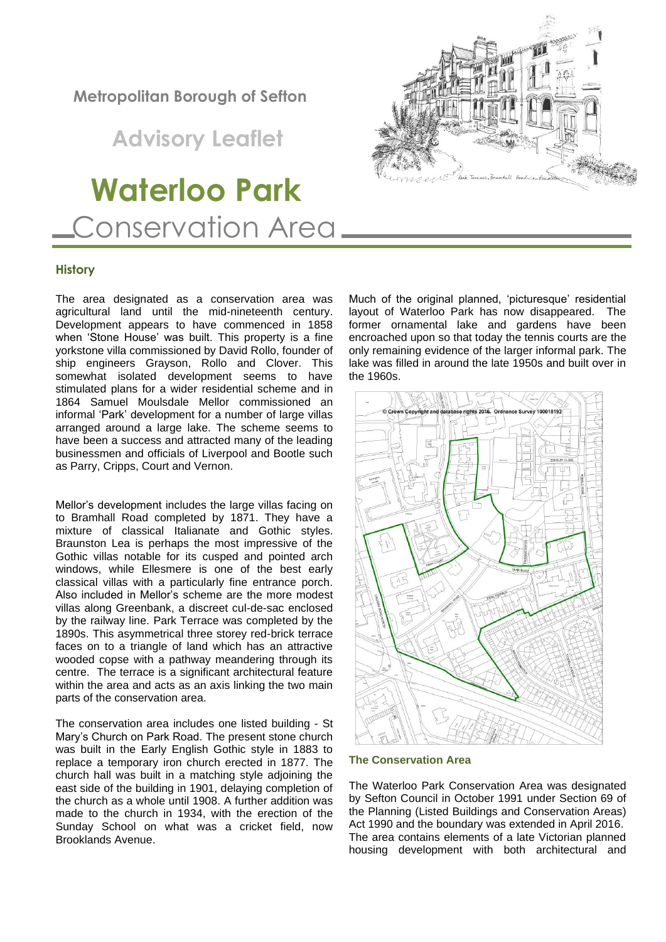# **Metropolitan Borough of Sefton**

 **Advisory Leaflet**

# **Waterloo Park** Conservation Area

# **History**

The area designated as a conservation area was agricultural land until the mid-nineteenth century. Development appears to have commenced in 1858 when 'Stone House' was built. This property is a fine yorkstone villa commissioned by David Rollo, founder of ship engineers Grayson, Rollo and Clover. This somewhat isolated development seems to have stimulated plans for a wider residential scheme and in 1864 Samuel Moulsdale Mellor commissioned an informal 'Park' development for a number of large villas arranged around a large lake. The scheme seems to have been a success and attracted many of the leading businessmen and officials of Liverpool and Bootle such as Parry, Cripps, Court and Vernon.

Mellor's development includes the large villas facing on to Bramhall Road completed by 1871. They have a mixture of classical Italianate and Gothic styles. Braunston Lea is perhaps the most impressive of the Gothic villas notable for its cusped and pointed arch windows, while Ellesmere is one of the best early classical villas with a particularly fine entrance porch. Also included in Mellor's scheme are the more modest villas along Greenbank, a discreet cul-de-sac enclosed by the railway line. Park Terrace was completed by the 1890s. This asymmetrical three storey red-brick terrace faces on to a triangle of land which has an attractive wooded copse with a pathway meandering through its centre. The terrace is a significant architectural feature within the area and acts as an axis linking the two main parts of the conservation area.

The conservation area includes one listed building - St Mary's Church on Park Road. The present stone church was built in the Early English Gothic style in 1883 to replace a temporary iron church erected in 1877. The church hall was built in a matching style adjoining the east side of the building in 1901, delaying completion of the church as a whole until 1908. A further addition was made to the church in 1934, with the erection of the Sunday School on what was a cricket field, now Brooklands Avenue.





#### **The Conservation Area**

The Waterloo Park Conservation Area was designated by Sefton Council in October 1991 under Section 69 of the Planning (Listed Buildings and Conservation Areas) Act 1990 and the boundary was extended in April 2016. The area contains elements of a late Victorian planned housing development with both architectural and

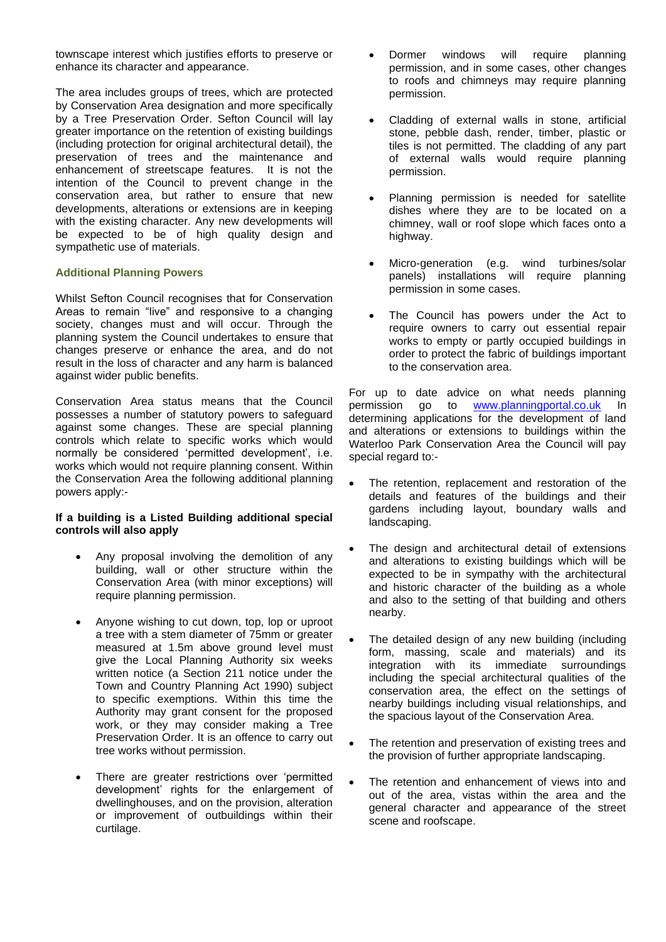townscape interest which justifies efforts to preserve or enhance its character and appearance.

The area includes groups of trees, which are protected by Conservation Area designation and more specifically by a Tree Preservation Order. Sefton Council will lay greater importance on the retention of existing buildings (including protection for original architectural detail), the preservation of trees and the maintenance and enhancement of streetscape features. It is not the intention of the Council to prevent change in the conservation area, but rather to ensure that new developments, alterations or extensions are in keeping with the existing character. Any new developments will be expected to be of high quality design and sympathetic use of materials.

# **Additional Planning Powers**

Whilst Sefton Council recognises that for Conservation Areas to remain "live" and responsive to a changing society, changes must and will occur. Through the planning system the Council undertakes to ensure that changes preserve or enhance the area, and do not result in the loss of character and any harm is balanced against wider public benefits.

Conservation Area status means that the Council possesses a number of statutory powers to safeguard against some changes. These are special planning controls which relate to specific works which would normally be considered 'permitted development', i.e. works which would not require planning consent. Within the Conservation Area the following additional planning powers apply:-

# **If a building is a Listed Building additional special controls will also apply**

- Any proposal involving the demolition of any building, wall or other structure within the Conservation Area (with minor exceptions) will require planning permission.
- Anyone wishing to cut down, top, lop or uproot a tree with a stem diameter of 75mm or greater measured at 1.5m above ground level must give the Local Planning Authority six weeks written notice (a Section 211 notice under the Town and Country Planning Act 1990) subject to specific exemptions. Within this time the Authority may grant consent for the proposed work, or they may consider making a Tree Preservation Order. It is an offence to carry out tree works without permission.
- There are greater restrictions over 'permitted development' rights for the enlargement of dwellinghouses, and on the provision, alteration or improvement of outbuildings within their curtilage.
- Dormer windows will require planning permission, and in some cases, other changes to roofs and chimneys may require planning permission.
- Cladding of external walls in stone, artificial stone, pebble dash, render, timber, plastic or tiles is not permitted. The cladding of any part of external walls would require planning permission.
- Planning permission is needed for satellite dishes where they are to be located on a chimney, wall or roof slope which faces onto a highway.
- Micro-generation (e.g. wind turbines/solar panels) installations will require planning permission in some cases.
- The Council has powers under the Act to require owners to carry out essential repair works to empty or partly occupied buildings in order to protect the fabric of buildings important to the conservation area.

For up to date advice on what needs planning permission go to [www.planningportal.co.uk](http://www.planningportal.co.uk/) In determining applications for the development of land and alterations or extensions to buildings within the Waterloo Park Conservation Area the Council will pay special regard to:-

- The retention, replacement and restoration of the details and features of the buildings and their gardens including layout, boundary walls and landscaping.
- The design and architectural detail of extensions and alterations to existing buildings which will be expected to be in sympathy with the architectural and historic character of the building as a whole and also to the setting of that building and others nearby.
- The detailed design of any new building (including form, massing, scale and materials) and its integration with its immediate surroundings including the special architectural qualities of the conservation area, the effect on the settings of nearby buildings including visual relationships, and the spacious layout of the Conservation Area.
- The retention and preservation of existing trees and the provision of further appropriate landscaping.
- The retention and enhancement of views into and out of the area, vistas within the area and the general character and appearance of the street scene and roofscape.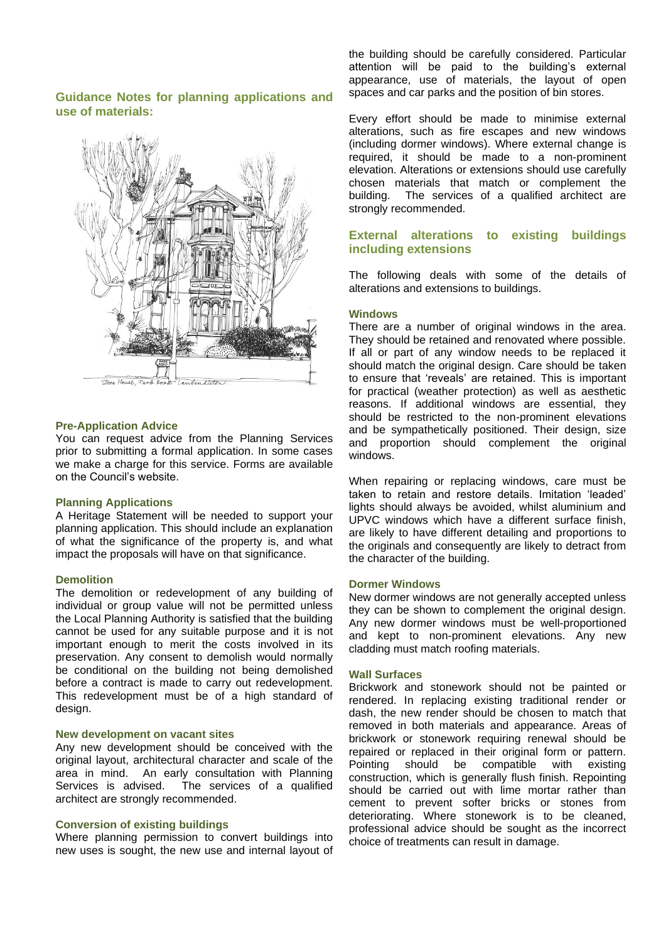# **Guidance Notes for planning applications and use of materials:**



#### **Pre-Application Advice**

You can request advice from the Planning Services prior to submitting a formal application. In some cases we make a charge for this service. Forms are available on the Council's website.

#### **Planning Applications**

A Heritage Statement will be needed to support your planning application. This should include an explanation of what the significance of the property is, and what impact the proposals will have on that significance.

#### **Demolition**

The demolition or redevelopment of any building of individual or group value will not be permitted unless the Local Planning Authority is satisfied that the building cannot be used for any suitable purpose and it is not important enough to merit the costs involved in its preservation. Any consent to demolish would normally be conditional on the building not being demolished before a contract is made to carry out redevelopment. This redevelopment must be of a high standard of design.

#### **New development on vacant sites**

Any new development should be conceived with the original layout, architectural character and scale of the area in mind. An early consultation with Planning Services is advised. The services of a qualified architect are strongly recommended.

#### **Conversion of existing buildings**

Where planning permission to convert buildings into new uses is sought, the new use and internal layout of the building should be carefully considered. Particular attention will be paid to the building's external appearance, use of materials, the layout of open spaces and car parks and the position of bin stores.

Every effort should be made to minimise external alterations, such as fire escapes and new windows (including dormer windows). Where external change is required, it should be made to a non-prominent elevation. Alterations or extensions should use carefully chosen materials that match or complement the building. The services of a qualified architect are The services of a qualified architect are strongly recommended.

# **External alterations to existing buildings including extensions**

The following deals with some of the details of alterations and extensions to buildings.

#### **Windows**

There are a number of original windows in the area. They should be retained and renovated where possible. If all or part of any window needs to be replaced it should match the original design. Care should be taken to ensure that 'reveals' are retained. This is important for practical (weather protection) as well as aesthetic reasons. If additional windows are essential, they should be restricted to the non-prominent elevations and be sympathetically positioned. Their design, size and proportion should complement the original windows.

When repairing or replacing windows, care must be taken to retain and restore details. Imitation 'leaded' lights should always be avoided, whilst aluminium and UPVC windows which have a different surface finish, are likely to have different detailing and proportions to the originals and consequently are likely to detract from the character of the building.

#### **Dormer Windows**

New dormer windows are not generally accepted unless they can be shown to complement the original design. Any new dormer windows must be well-proportioned and kept to non-prominent elevations. Any new cladding must match roofing materials.

#### **Wall Surfaces**

Brickwork and stonework should not be painted or rendered. In replacing existing traditional render or dash, the new render should be chosen to match that removed in both materials and appearance. Areas of brickwork or stonework requiring renewal should be repaired or replaced in their original form or pattern. Pointing should be compatible with existing construction, which is generally flush finish. Repointing should be carried out with lime mortar rather than cement to prevent softer bricks or stones from deteriorating. Where stonework is to be cleaned, professional advice should be sought as the incorrect choice of treatments can result in damage.